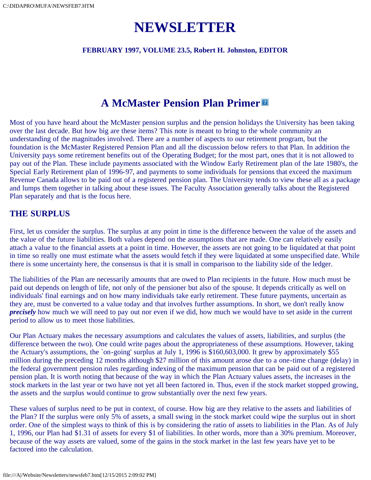# **NEWSLETTER**

**FEBRUARY 1997, VOLUME 23.5, Robert H. Johnston, EDITOR**

# **A McMaster Pension Plan Primer**

Most of you have heard about the McMaster pension surplus and the pension holidays the University has been taking over the last decade. But how big are these items? This note is meant to bring to the whole community an understanding of the magnitudes involved. There are a number of aspects to our retirement program, but the foundation is the McMaster Registered Pension Plan and all the discussion below refers to that Plan. In addition the University pays some retirement benefits out of the Operating Budget; for the most part, ones that it is not allowed to pay out of the Plan. These include payments associated with the Window Early Retirement plan of the late 1980's, the Special Early Retirement plan of 1996-97, and payments to some individuals for pensions that exceed the maximum Revenue Canada allows to be paid out of a registered pension plan. The University tends to view these all as a package and lumps them together in talking about these issues. The Faculty Association generally talks about the Registered Plan separately and that is the focus here.

### **THE SURPLUS**

First, let us consider the surplus. The surplus at any point in time is the difference between the value of the assets and the value of the future liabilities. Both values depend on the assumptions that are made. One can relatively easily attach a value to the financial assets at a point in time. However, the assets are not going to be liquidated at that point in time so really one must estimate what the assets would fetch if they were liquidated at some unspecified date. While there is some uncertainty here, the consensus is that it is small in comparison to the liability side of the ledger.

The liabilities of the Plan are necessarily amounts that are owed to Plan recipients in the future. How much must be paid out depends on length of life, not only of the pensioner but also of the spouse. It depends critically as well on individuals' final earnings and on how many individuals take early retirement. These future payments, uncertain as they are, must be converted to a value today and that involves further assumptions. In short, we don't really know *precisely* how much we will need to pay out nor even if we did, how much we would have to set aside in the current period to allow us to meet those liabilities.

Our Plan Actuary makes the necessary assumptions and calculates the values of assets, liabilities, and surplus (the difference between the two). One could write pages about the appropriateness of these assumptions. However, taking the Actuary's assumptions, the `on-going' surplus at July 1, 1996 is \$160,603,000. It grew by approximately \$55 million during the preceding 12 months although \$27 million of this amount arose due to a one-time change (delay) in the federal government pension rules regarding indexing of the maximum pension that can be paid out of a registered pension plan. It is worth noting that because of the way in which the Plan Actuary values assets, the increases in the stock markets in the last year or two have not yet all been factored in. Thus, even if the stock market stopped growing, the assets and the surplus would continue to grow substantially over the next few years.

These values of surplus need to be put in context, of course. How big are they relative to the assets and liabilities of the Plan? If the surplus were only 5% of assets, a small swing in the stock market could wipe the surplus out in short order. One of the simplest ways to think of this is by considering the ratio of assets to liabilities in the Plan. As of July 1, 1996, our Plan had \$1.31 of assets for every \$1 of liabilities. In other words, more than a 30% premium. Moreover, because of the way assets are valued, some of the gains in the stock market in the last few years have yet to be factored into the calculation.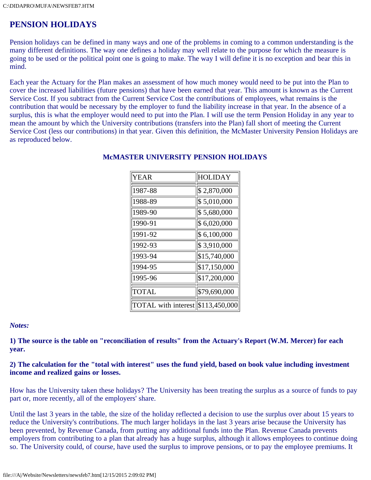### **PENSION HOLIDAYS**

Pension holidays can be defined in many ways and one of the problems in coming to a common understanding is the many different definitions. The way one defines a holiday may well relate to the purpose for which the measure is going to be used or the political point one is going to make. The way I will define it is no exception and bear this in mind.

Each year the Actuary for the Plan makes an assessment of how much money would need to be put into the Plan to cover the increased liabilities (future pensions) that have been earned that year. This amount is known as the Current Service Cost. If you subtract from the Current Service Cost the contributions of employees, what remains is the contribution that would be necessary by the employer to fund the liability increase in that year. In the absence of a surplus, this is what the employer would need to put into the Plan. I will use the term Pension Holiday in any year to mean the amount by which the University contributions (transfers into the Plan) fall short of meeting the Current Service Cost (less our contributions) in that year. Given this definition, the McMaster University Pension Holidays are as reproduced below.

| YEAR                                    | HOLIDAY      |  |
|-----------------------------------------|--------------|--|
| 1987-88                                 | \$2,870,000  |  |
| 1988-89                                 | \$5,010,000  |  |
| 1989-90                                 | \$5,680,000  |  |
| 1990-91                                 | \$6,020,000  |  |
| 1991-92                                 | \$6,100,000  |  |
| 1992-93                                 | \$3,910,000  |  |
| 1993-94                                 | \$15,740,000 |  |
| 1994-95                                 | \$17,150,000 |  |
| 1995-96                                 | \$17,200,000 |  |
| <b>TOTAL</b>                            | \$79,690,000 |  |
| TOTAL with interest $\ \$113,450,000\ $ |              |  |

### **McMASTER UNIVERSITY PENSION HOLIDAYS**

#### *Notes:*

**1) The source is the table on "reconciliation of results" from the Actuary's Report (W.M. Mercer) for each year.**

### **2) The calculation for the "total with interest" uses the fund yield, based on book value including investment income and realized gains or losses.**

How has the University taken these holidays? The University has been treating the surplus as a source of funds to pay part or, more recently, all of the employers' share.

Until the last 3 years in the table, the size of the holiday reflected a decision to use the surplus over about 15 years to reduce the University's contributions. The much larger holidays in the last 3 years arise because the University has been prevented, by Revenue Canada, from putting any additional funds into the Plan. Revenue Canada prevents employers from contributing to a plan that already has a huge surplus, although it allows employees to continue doing so. The University could, of course, have used the surplus to improve pensions, or to pay the employee premiums. It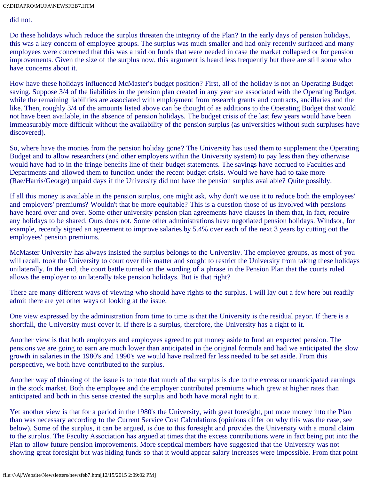did not.

Do these holidays which reduce the surplus threaten the integrity of the Plan? In the early days of pension holidays, this was a key concern of employee groups. The surplus was much smaller and had only recently surfaced and many employees were concerned that this was a raid on funds that were needed in case the market collapsed or for pension improvements. Given the size of the surplus now, this argument is heard less frequently but there are still some who have concerns about it.

How have these holidays influenced McMaster's budget position? First, all of the holiday is not an Operating Budget saving. Suppose 3/4 of the liabilities in the pension plan created in any year are associated with the Operating Budget, while the remaining liabilities are associated with employment from research grants and contracts, ancillaries and the like. Then, roughly 3/4 of the amounts listed above can be thought of as additions to the Operating Budget that would not have been available, in the absence of pension holidays. The budget crisis of the last few years would have been immeasurably more difficult without the availability of the pension surplus (as universities without such surpluses have discovered).

So, where have the monies from the pension holiday gone? The University has used them to supplement the Operating Budget and to allow researchers (and other employers within the University system) to pay less than they otherwise would have had to in the fringe benefits line of their budget statements. The savings have accrued to Faculties and Departments and allowed them to function under the recent budget crisis. Would we have had to take more (Rae/Harris/George) unpaid days if the University did not have the pension surplus available? Quite possibly.

If all this money is available in the pension surplus, one might ask, why don't we use it to reduce both the employees' and employers' premiums? Wouldn't that be more equitable? This is a question those of us involved with pensions have heard over and over. Some other university pension plan agreements have clauses in them that, in fact, require any holidays to be shared. Ours does not. Some other administrations have negotiated pension holidays. Windsor, for example, recently signed an agreement to improve salaries by 5.4% over each of the next 3 years by cutting out the employees' pension premiums.

McMaster University has always insisted the surplus belongs to the University. The employee groups, as most of you will recall, took the University to court over this matter and sought to restrict the University from taking these holidays unilaterally. In the end, the court battle turned on the wording of a phrase in the Pension Plan that the courts ruled allows the employer to unilaterally take pension holidays. But is that right?

There are many different ways of viewing who should have rights to the surplus. I will lay out a few here but readily admit there are yet other ways of looking at the issue.

One view expressed by the administration from time to time is that the University is the residual payor. If there is a shortfall, the University must cover it. If there is a surplus, therefore, the University has a right to it.

Another view is that both employers and employees agreed to put money aside to fund an expected pension. The pensions we are going to earn are much lower than anticipated in the original formula and had we anticipated the slow growth in salaries in the 1980's and 1990's we would have realized far less needed to be set aside. From this perspective, we both have contributed to the surplus.

Another way of thinking of the issue is to note that much of the surplus is due to the excess or unanticipated earnings in the stock market. Both the employee and the employer contributed premiums which grew at higher rates than anticipated and both in this sense created the surplus and both have moral right to it.

Yet another view is that for a period in the 1980's the University, with great foresight, put more money into the Plan than was necessary according to the Current Service Cost Calculations (opinions differ on why this was the case, see below). Some of the surplus, it can be argued, is due to this foresight and provides the University with a moral claim to the surplus. The Faculty Association has argued at times that the excess contributions were in fact being put into the Plan to allow future pension improvements. More sceptical members have suggested that the University was not showing great foresight but was hiding funds so that it would appear salary increases were impossible. From that point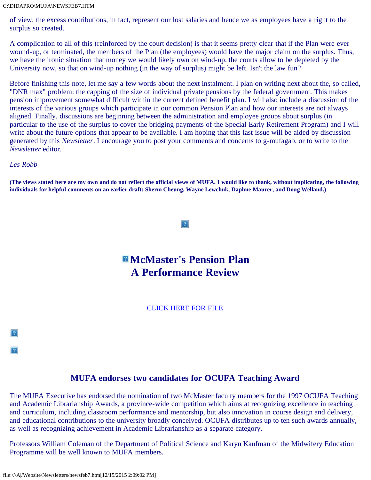of view, the excess contributions, in fact, represent our lost salaries and hence we as employees have a right to the surplus so created.

A complication to all of this (reinforced by the court decision) is that it seems pretty clear that if the Plan were ever wound-up, or terminated, the members of the Plan (the employees) would have the major claim on the surplus. Thus, we have the ironic situation that money we would likely own on wind-up, the courts allow to be depleted by the University now, so that on wind-up nothing (in the way of surplus) might be left. Isn't the law fun?

Before finishing this note, let me say a few words about the next instalment. I plan on writing next about the, so called, "DNR max" problem: the capping of the size of individual private pensions by the federal government. This makes pension improvement somewhat difficult within the current defined benefit plan. I will also include a discussion of the interests of the various groups which participate in our common Pension Plan and how our interests are not always aligned. Finally, discussions are beginning between the administration and employee groups about surplus (in particular to the use of the surplus to cover the bridging payments of the Special Early Retirement Program) and I will write about the future options that appear to be available. I am hoping that this last issue will be aided by discussion generated by this *Newsletter*. I encourage you to post your comments and concerns to g-mufagab, or to write to the *Newsletter* editor.

*Les Robb*

 $|2|$ 

 $|2|$ 

**(The views stated here are my own and do not reflect the official views of MUFA. I would like to thank, without implicating, the following individuals for helpful comments on an earlier draft: Sherm Cheung, Wayne Lewchuk, Daphne Maurer, and Doug Welland.)**

#### $|2|$

# **McMaster's Pension Plan A Performance Review**

[CLICK HERE FOR FILE](file:///A|/Website/Newsletters/pension7.htm)

### **MUFA endorses two candidates for OCUFA Teaching Award**

The MUFA Executive has endorsed the nomination of two McMaster faculty members for the 1997 OCUFA Teaching and Academic Librarianship Awards, a province-wide competition which aims at recognizing excellence in teaching and curriculum, including classroom performance and mentorship, but also innovation in course design and delivery, and educational contributions to the university broadly conceived. OCUFA distributes up to ten such awards annually, as well as recognizing achievement in Academic Librarianship as a separate category.

Professors William Coleman of the Department of Political Science and Karyn Kaufman of the Midwifery Education Programme will be well known to MUFA members.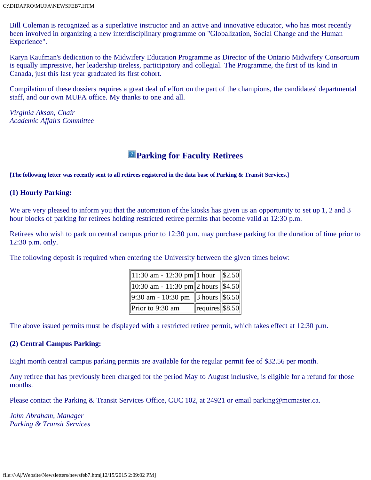Bill Coleman is recognized as a superlative instructor and an active and innovative educator, who has most recently been involved in organizing a new interdisciplinary programme on "Globalization, Social Change and the Human Experience".

Karyn Kaufman's dedication to the Midwifery Education Programme as Director of the Ontario Midwifery Consortium is equally impressive, her leadership tireless, participatory and collegial. The Programme, the first of its kind in Canada, just this last year graduated its first cohort.

Compilation of these dossiers requires a great deal of effort on the part of the champions, the candidates' departmental staff, and our own MUFA office. My thanks to one and all.

*Virginia Aksan, Chair Academic Affairs Committee*

### **Parking for Faculty Retirees**

**[The following letter was recently sent to all retirees registered in the data base of Parking & Transit Services.]**

### **(1) Hourly Parking:**

We are very pleased to inform you that the automation of the kiosks has given us an opportunity to set up 1, 2 and 3 hour blocks of parking for retirees holding restricted retiree permits that become valid at 12:30 p.m.

Retirees who wish to park on central campus prior to 12:30 p.m. may purchase parking for the duration of time prior to 12:30 p.m. only.

The following deposit is required when entering the University between the given times below:

| $\boxed{11:30 \text{ am} - 12:30 \text{ pm} \boxed{1 \text{ hour}} \boxed{$2.50}$ |                                                 |  |
|-----------------------------------------------------------------------------------|-------------------------------------------------|--|
| 10:30 am - 11:30 pm  2 hours $\ \overline{$4.50} \ $                              |                                                 |  |
| $9:30$ am - 10:30 pm 3 hours $\ 56.50\ $                                          |                                                 |  |
| Prior to $9:30$ am                                                                | $\left\Vert \text{requires} \right\Vert$ \$8.50 |  |

The above issued permits must be displayed with a restricted retiree permit, which takes effect at 12:30 p.m.

### **(2) Central Campus Parking:**

Eight month central campus parking permits are available for the regular permit fee of \$32.56 per month.

Any retiree that has previously been charged for the period May to August inclusive, is eligible for a refund for those months.

Please contact the Parking & Transit Services Office, CUC 102, at 24921 or email parking@mcmaster.ca.

*John Abraham, Manager Parking & Transit Services*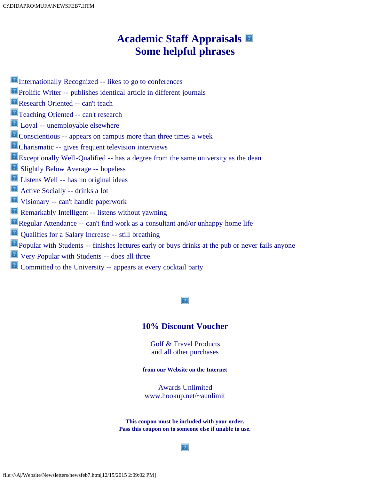# **Academic Staff Appraisals Some helpful phrases**

- **E** Internationally Recognized -- likes to go to conferences
- Prolific Writer -- publishes identical article in different journals
- **Research Oriented -- can't teach**
- **Teaching Oriented -- can't research**
- **Loyal** -- unemployable elsewhere
- **P** Conscientious -- appears on campus more than three times a week
- **P** Charismatic -- gives frequent television interviews
- Exceptionally Well-Qualified -- has a degree from the same university as the dean
- **B** Slightly Below Average -- hopeless
- Listens Well -- has no original ideas
- Active Socially -- drinks a lot
- Visionary -- can't handle paperwork
- **Remarkably Intelligent -- listens without yawning**
- Regular Attendance -- can't find work as a consultant and/or unhappy home life
- Qualifies for a Salary Increase -- still breathing
- **Popular with Students -- finishes lectures early or buys drinks at the pub or never fails anyone**
- Very Popular with Students -- does all three
- **Committed to the University -- appears at every cocktail party**

### $\overline{?}$

### **10% Discount Voucher**

Golf & Travel Products and all other purchases

#### **from our Website on the Internet**

Awards Unlimited www.hookup.net/*~*aunlimit

**This coupon must be included with your order. Pass this coupon on to someone else if unable to use.**

#### $|2|$